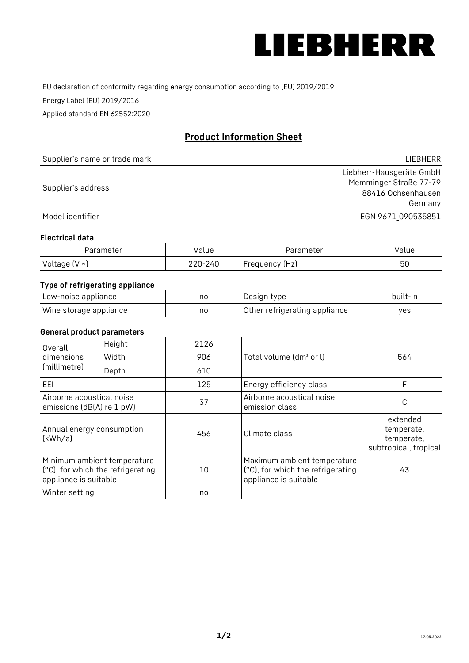

EU declaration of conformity regarding energy consumption according to (EU) 2019/2019

Energy Label (EU) 2019/2016

Applied standard EN 62552:2020

# **Product Information Sheet**

| Supplier's name or trade mark | LIEBHERR                 |
|-------------------------------|--------------------------|
|                               | Liebherr-Hausgeräte GmbH |
| Supplier's address            | Memminger Straße 77-79   |
|                               | 88416 Ochsenhausen       |
|                               | Germany                  |
| Model identifier              | EGN 9671_090535851       |

### **Electrical data**

| Parameter     | Value   | Parameter      | alue/ |
|---------------|---------|----------------|-------|
| Voltage (V ~) | 220-240 | Frequency (Hz) | 50    |

# **Type of refrigerating appliance**

| Low-noise appliance    | no | Design type                   | built-in |
|------------------------|----|-------------------------------|----------|
| Wine storage appliance | no | Other refrigerating appliance | yes      |

### **General product parameters**

| Overall                                                | Height                                                           | 2126 |                                                                                           | 564                                                           |
|--------------------------------------------------------|------------------------------------------------------------------|------|-------------------------------------------------------------------------------------------|---------------------------------------------------------------|
| dimensions<br>(millimetre)                             | Width                                                            | 906  | Total volume (dm <sup>3</sup> or l)                                                       |                                                               |
|                                                        | Depth                                                            | 610  |                                                                                           |                                                               |
| EEL                                                    |                                                                  | 125  | Energy efficiency class                                                                   | F                                                             |
| Airborne acoustical noise<br>emissions (dB(A) re 1 pW) |                                                                  | 37   | Airborne acoustical noise<br>emission class                                               | C                                                             |
| Annual energy consumption<br>(kWh/a)                   |                                                                  | 456  | Climate class                                                                             | extended<br>temperate,<br>temperate,<br>subtropical, tropical |
| appliance is suitable                                  | Minimum ambient temperature<br>(°C), for which the refrigerating | 10   | Maximum ambient temperature<br>(°C), for which the refrigerating<br>appliance is suitable | 43                                                            |
| Winter setting                                         |                                                                  | no   |                                                                                           |                                                               |